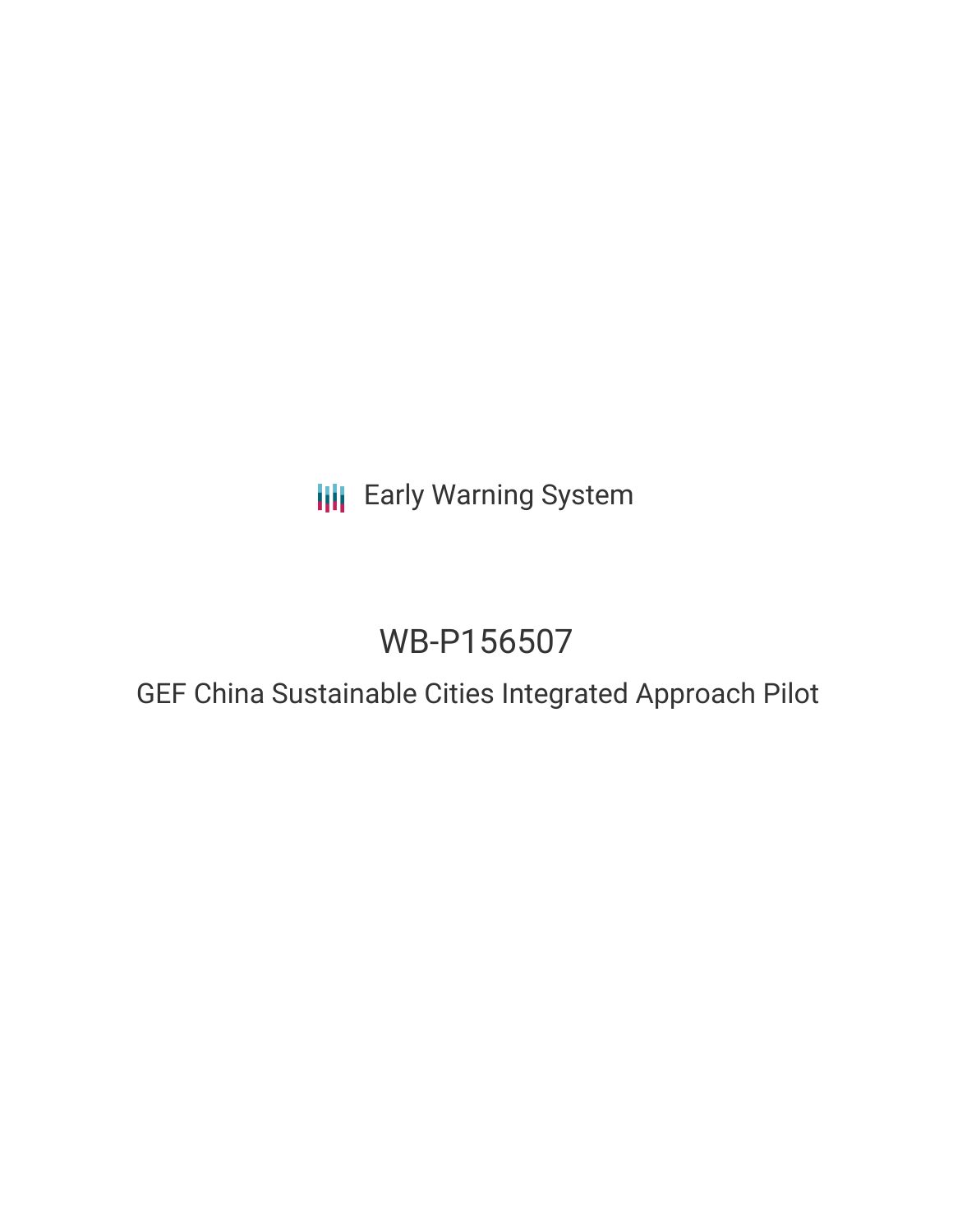**III** Early Warning System

# WB-P156507

## GEF China Sustainable Cities Integrated Approach Pilot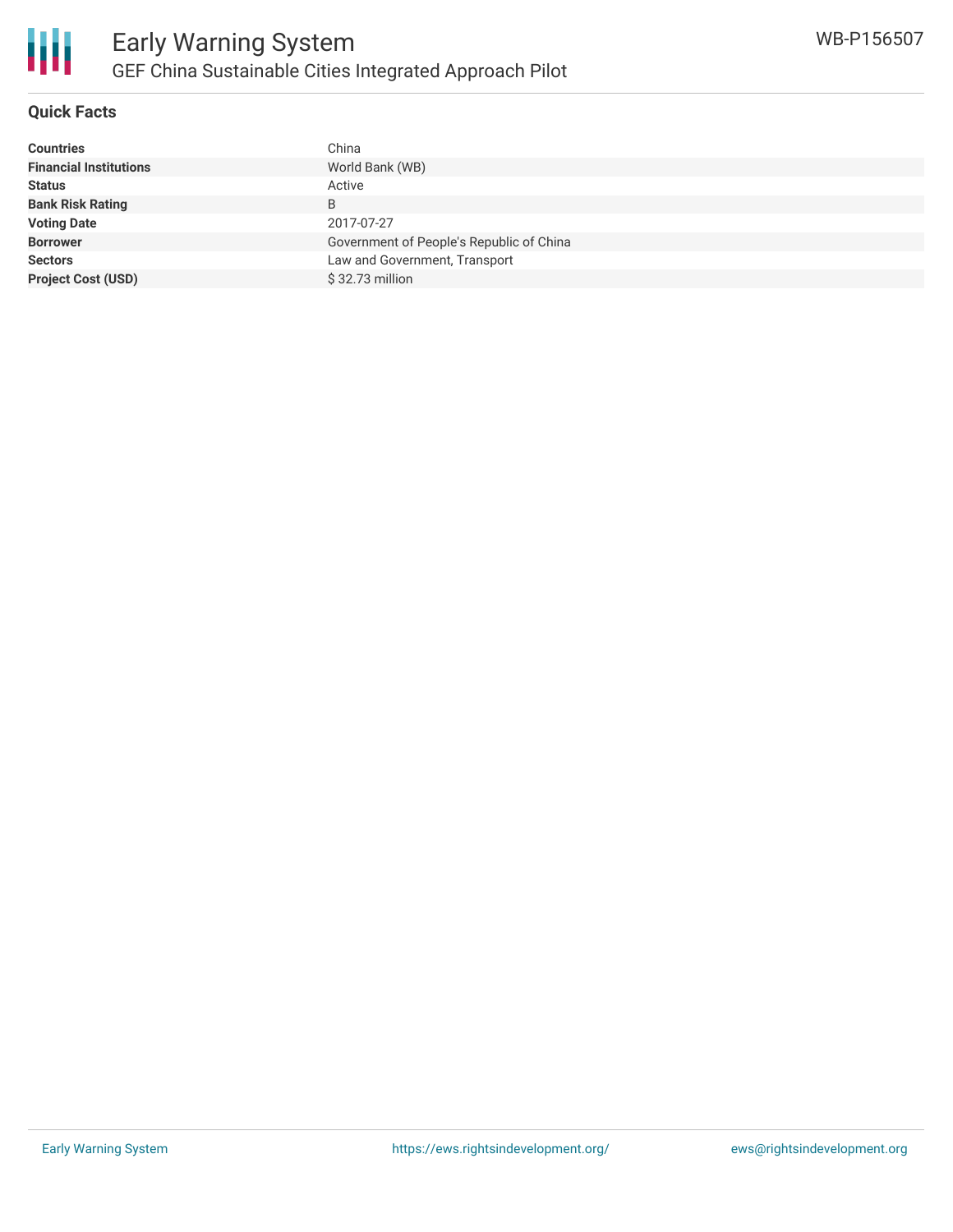

### **Quick Facts**

| <b>Countries</b>              | China                                    |
|-------------------------------|------------------------------------------|
| <b>Financial Institutions</b> | World Bank (WB)                          |
| <b>Status</b>                 | Active                                   |
| <b>Bank Risk Rating</b>       | B                                        |
| <b>Voting Date</b>            | 2017-07-27                               |
| <b>Borrower</b>               | Government of People's Republic of China |
| <b>Sectors</b>                | Law and Government, Transport            |
| <b>Project Cost (USD)</b>     | $$32.73$ million                         |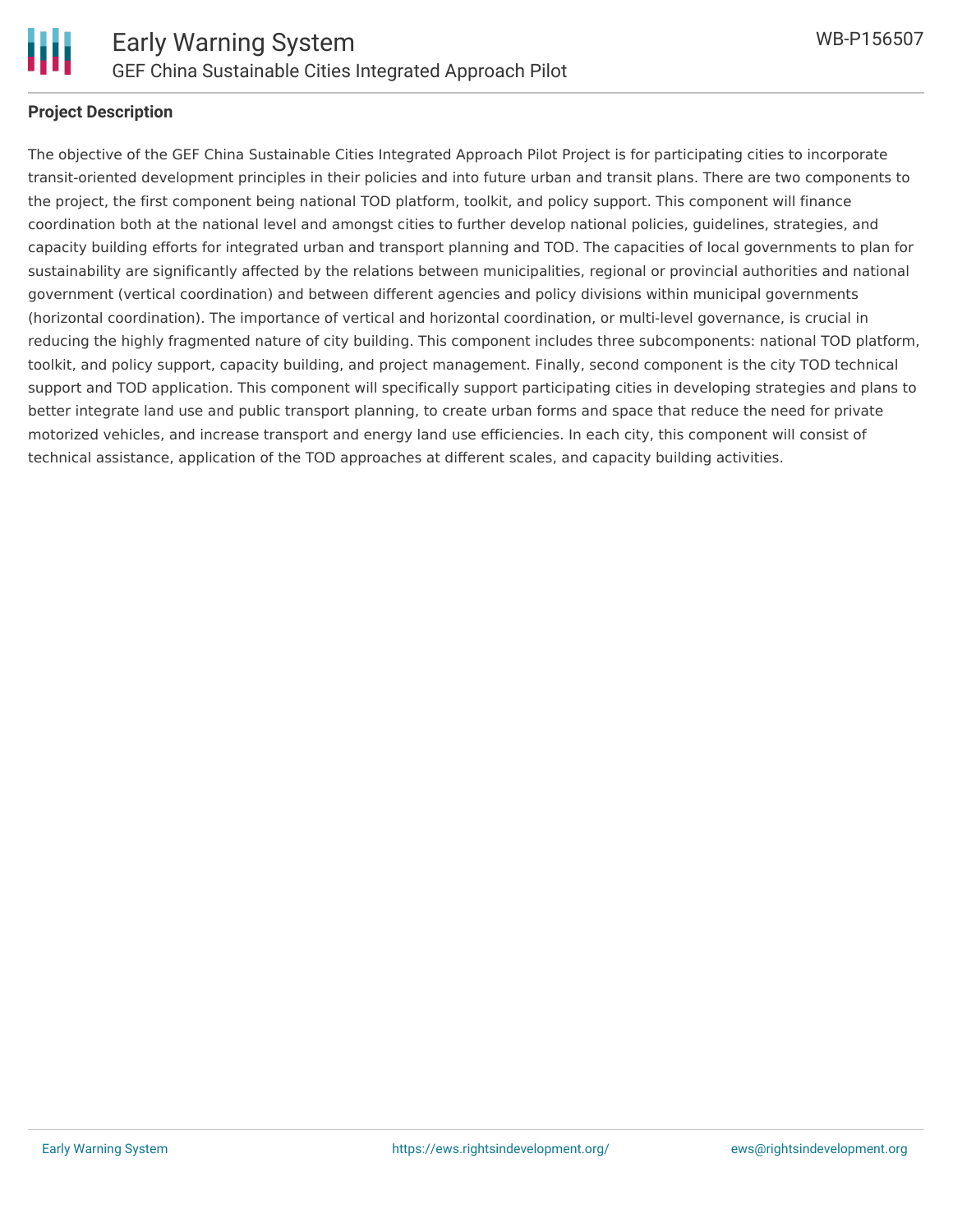

#### **Project Description**

The objective of the GEF China Sustainable Cities Integrated Approach Pilot Project is for participating cities to incorporate transit-oriented development principles in their policies and into future urban and transit plans. There are two components to the project, the first component being national TOD platform, toolkit, and policy support. This component will finance coordination both at the national level and amongst cities to further develop national policies, guidelines, strategies, and capacity building efforts for integrated urban and transport planning and TOD. The capacities of local governments to plan for sustainability are significantly affected by the relations between municipalities, regional or provincial authorities and national government (vertical coordination) and between different agencies and policy divisions within municipal governments (horizontal coordination). The importance of vertical and horizontal coordination, or multi-level governance, is crucial in reducing the highly fragmented nature of city building. This component includes three subcomponents: national TOD platform, toolkit, and policy support, capacity building, and project management. Finally, second component is the city TOD technical support and TOD application. This component will specifically support participating cities in developing strategies and plans to better integrate land use and public transport planning, to create urban forms and space that reduce the need for private motorized vehicles, and increase transport and energy land use efficiencies. In each city, this component will consist of technical assistance, application of the TOD approaches at different scales, and capacity building activities.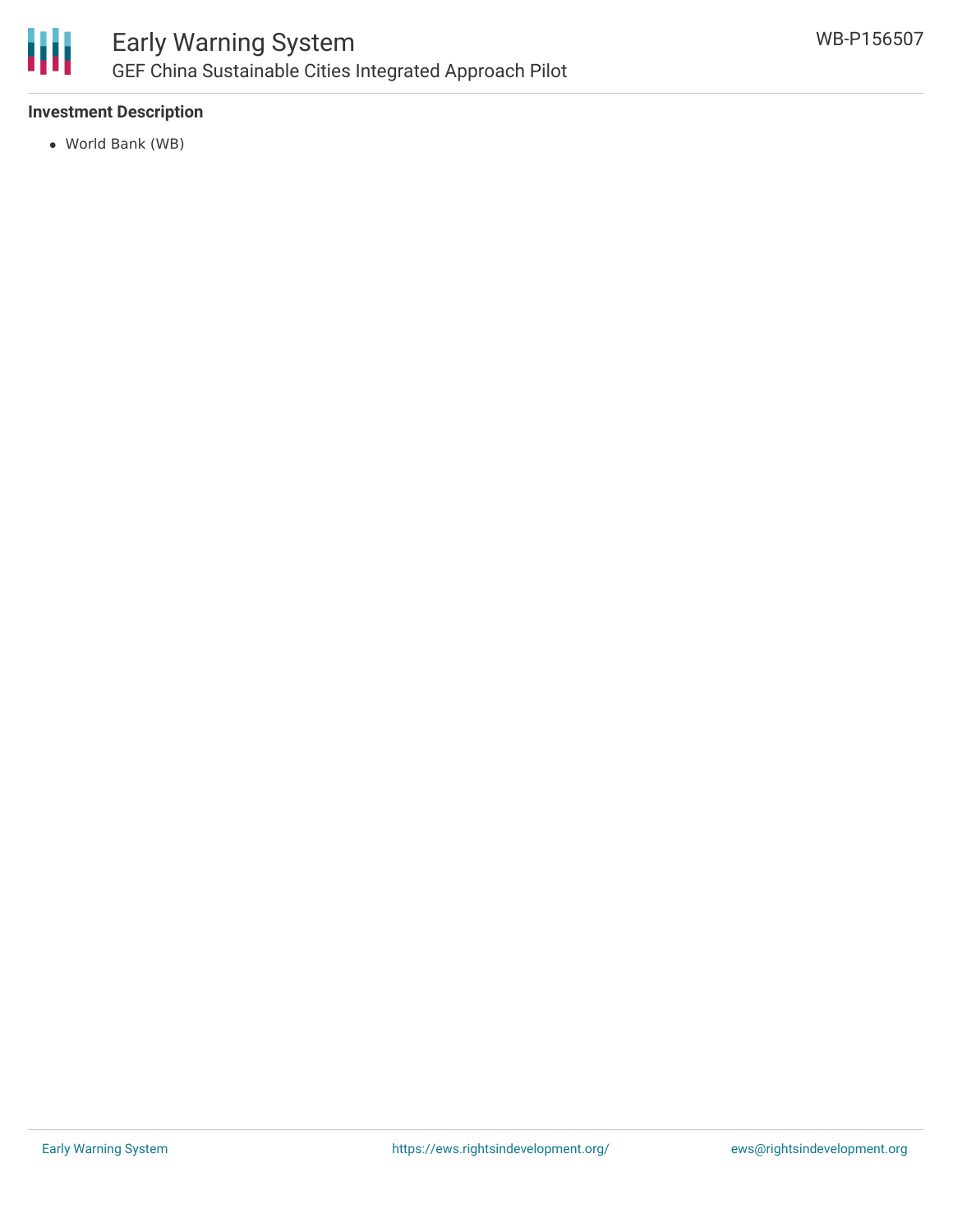

### **Investment Description**

World Bank (WB)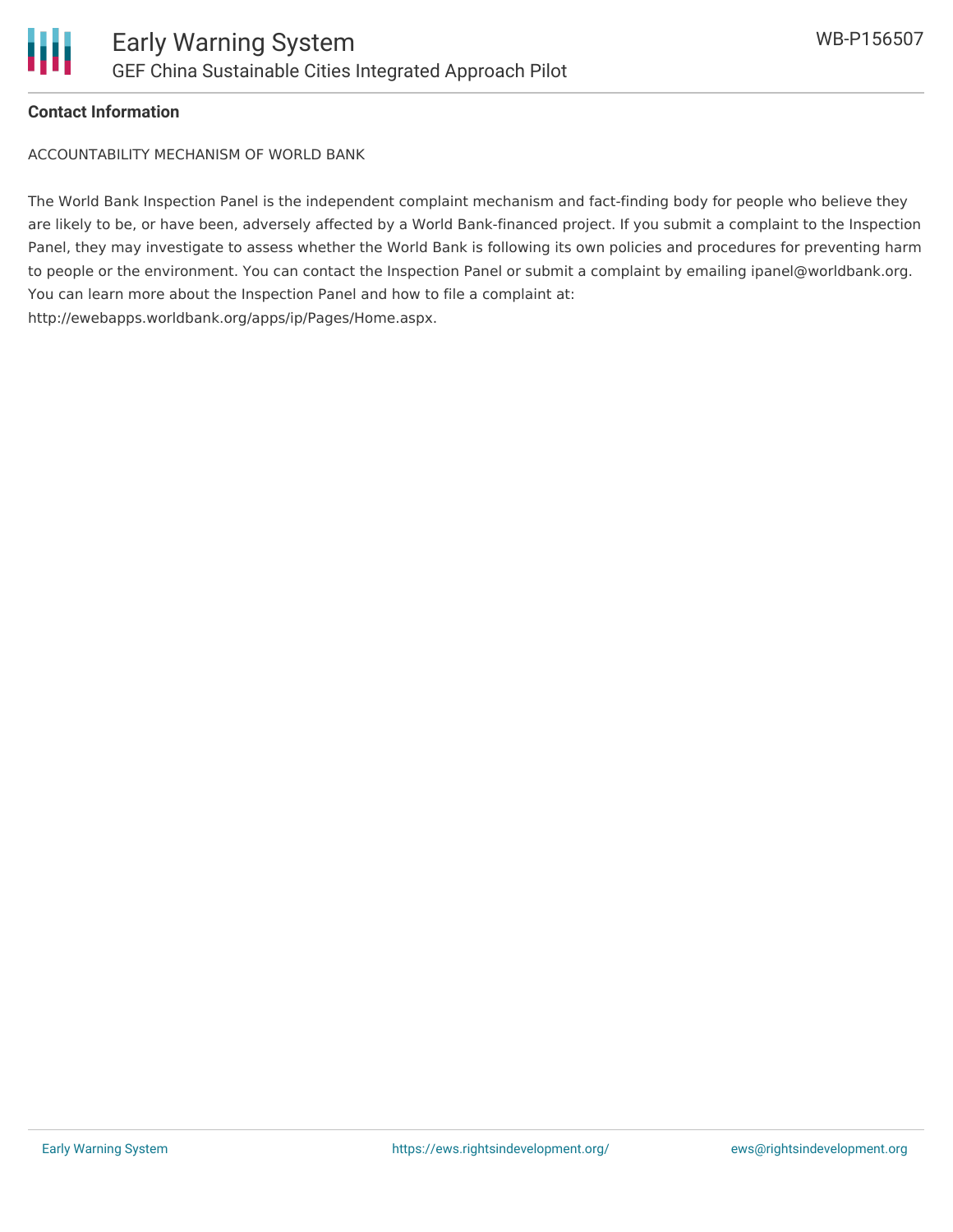

#### **Contact Information**

ACCOUNTABILITY MECHANISM OF WORLD BANK

The World Bank Inspection Panel is the independent complaint mechanism and fact-finding body for people who believe they are likely to be, or have been, adversely affected by a World Bank-financed project. If you submit a complaint to the Inspection Panel, they may investigate to assess whether the World Bank is following its own policies and procedures for preventing harm to people or the environment. You can contact the Inspection Panel or submit a complaint by emailing ipanel@worldbank.org. You can learn more about the Inspection Panel and how to file a complaint at: http://ewebapps.worldbank.org/apps/ip/Pages/Home.aspx.